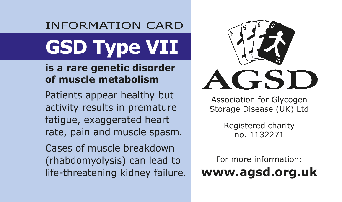# INFORMATION CARD **GSD Type VII**

#### **is a rare genetic disorder of muscle metabolism**

Patients appear healthy but activity results in premature fatigue, exaggerated heart rate, pain and muscle spasm.

Cases of muscle breakdown (rhabdomyolysis) can lead to life-threatening kidney failure.



Association for Glycogen Storage Disease (UK) Ltd

> Registered charity no. 1132271

For more information: **www.agsd.org.uk**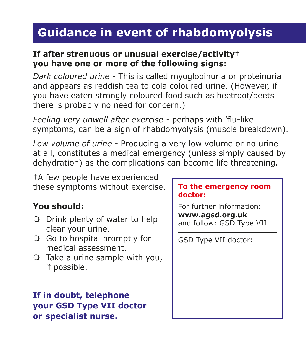## **Guidance in event of rhabdomyolysis**

### **If after strenuous or unusual exercise/activity**† **you have one or more of the following signs:**

*Dark coloured urine -* This is called myoglobinuria or proteinuria and appears as reddish tea to cola coloured urine. (However, if you have eaten strongly coloured food such as beetroot/beets there is probably no need for concern.)

*Feeling very unwell after exercise -* perhaps with 'flu-like symptoms, can be a sign of rhabdomyolysis (muscle breakdown).

*Low volume of urine -* Producing a very low volume or no urine at all, constitutes a medical emergency (unless simply caused by dehydration) as the complications can become life threatening.

†A few people have experienced these symptoms without exercise.

### **You should:**

- O Drink plenty of water to help clear your urine.
- O Go to hospital promptly for medical assessment.
- $\bigcirc$  Take a urine sample with you, if possible.

### **If in doubt, telephone your GSD Type VII doctor or specialist nurse.**

#### **To the emergency room doctor:**

For further information: **www.agsd.org.uk** and follow: GSD Type VII

GSD Type VII doctor: